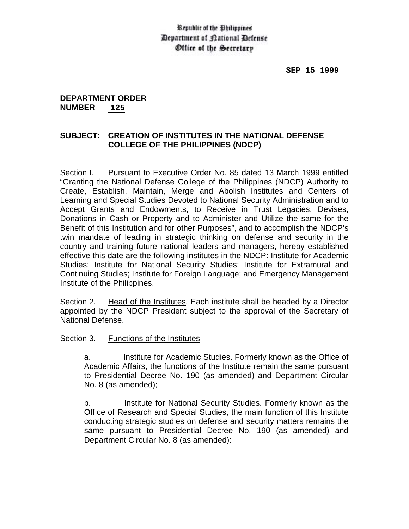## Republic of the Obilippines Department of Cational Defense Office of the Secretary

## **DEPARTMENT ORDER NUMBER 125**

## **SUBJECT: CREATION OF INSTITUTES IN THE NATIONAL DEFENSE COLLEGE OF THE PHILIPPINES (NDCP)**

Section I. Pursuant to Executive Order No. 85 dated 13 March 1999 entitled "Granting the National Defense College of the Philippines (NDCP) Authority to Create, Establish, Maintain, Merge and Abolish Institutes and Centers of Learning and Special Studies Devoted to National Security Administration and to Accept Grants and Endowments, to Receive in Trust Legacies, Devises, Donations in Cash or Property and to Administer and Utilize the same for the Benefit of this Institution and for other Purposes", and to accomplish the NDCP's twin mandate of leading in strategic thinking on defense and security in the country and training future national leaders and managers, hereby established effective this date are the following institutes in the NDCP: Institute for Academic Studies; Institute for National Security Studies; Institute for Extramural and Continuing Studies; Institute for Foreign Language; and Emergency Management Institute of the Philippines.

Section 2. Head of the Institutes. Each institute shall be headed by a Director appointed by the NDCP President subject to the approval of the Secretary of National Defense.

Section 3. Functions of the Institutes

a. Institute for Academic Studies. Formerly known as the Office of Academic Affairs, the functions of the Institute remain the same pursuant to Presidential Decree No. 190 (as amended) and Department Circular No. 8 (as amended);

b. Institute for National Security Studies. Formerly known as the Office of Research and Special Studies, the main function of this Institute conducting strategic studies on defense and security matters remains the same pursuant to Presidential Decree No. 190 (as amended) and Department Circular No. 8 (as amended):